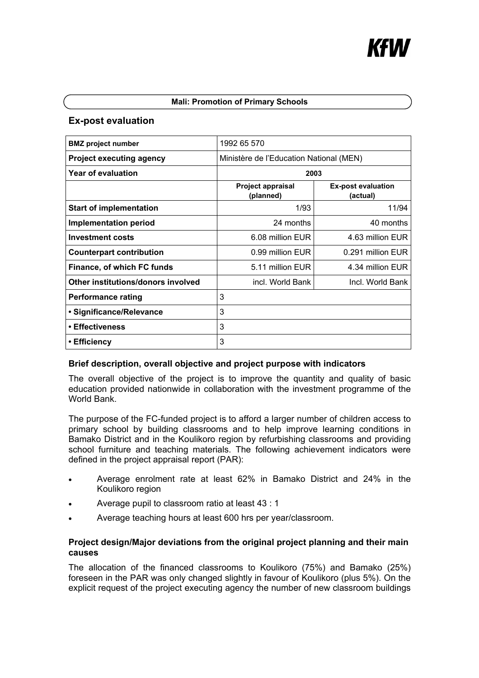### **Mali: Promotion of Primary Schools**

# **Ex-post evaluation**

| <b>BMZ</b> project number          | 1992 65 570                             |                                       |
|------------------------------------|-----------------------------------------|---------------------------------------|
| <b>Project executing agency</b>    | Ministère de l'Education National (MEN) |                                       |
| Year of evaluation                 | 2003                                    |                                       |
|                                    | <b>Project appraisal</b><br>(planned)   | <b>Ex-post evaluation</b><br>(actual) |
| <b>Start of implementation</b>     | 1/93                                    | 11/94                                 |
| <b>Implementation period</b>       | 24 months                               | 40 months                             |
| <b>Investment costs</b>            | 6.08 million EUR                        | 4.63 million EUR                      |
| <b>Counterpart contribution</b>    | 0.99 million EUR                        | 0.291 million EUR                     |
| Finance, of which FC funds         | 5.11 million EUR                        | 4.34 million EUR                      |
| Other institutions/donors involved | incl. World Bank                        | Incl. World Bank                      |
| <b>Performance rating</b>          | 3                                       |                                       |
| • Significance/Relevance           | 3                                       |                                       |
| • Effectiveness                    | 3                                       |                                       |
| ∙ Efficiency                       | 3                                       |                                       |

# **Brief description, overall objective and project purpose with indicators**

The overall objective of the project is to improve the quantity and quality of basic education provided nationwide in collaboration with the investment programme of the World Bank.

The purpose of the FC-funded project is to afford a larger number of children access to primary school by building classrooms and to help improve learning conditions in Bamako District and in the Koulikoro region by refurbishing classrooms and providing school furniture and teaching materials. The following achievement indicators were defined in the project appraisal report (PAR):

- Average enrolment rate at least 62% in Bamako District and 24% in the Koulikoro region
- Average pupil to classroom ratio at least 43 : 1
- Average teaching hours at least 600 hrs per year/classroom.

# **Project design/Major deviations from the original project planning and their main causes**

The allocation of the financed classrooms to Koulikoro (75%) and Bamako (25%) foreseen in the PAR was only changed slightly in favour of Koulikoro (plus 5%). On the explicit request of the project executing agency the number of new classroom buildings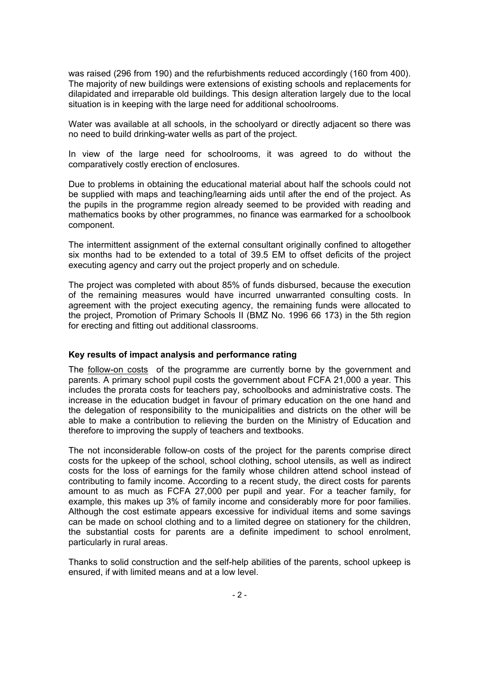was raised (296 from 190) and the refurbishments reduced accordingly (160 from 400). The majority of new buildings were extensions of existing schools and replacements for dilapidated and irreparable old buildings. This design alteration largely due to the local situation is in keeping with the large need for additional schoolrooms.

Water was available at all schools, in the schoolyard or directly adjacent so there was no need to build drinking-water wells as part of the project.

In view of the large need for schoolrooms, it was agreed to do without the comparatively costly erection of enclosures.

Due to problems in obtaining the educational material about half the schools could not be supplied with maps and teaching/learning aids until after the end of the project. As the pupils in the programme region already seemed to be provided with reading and mathematics books by other programmes, no finance was earmarked for a schoolbook component.

The intermittent assignment of the external consultant originally confined to altogether six months had to be extended to a total of 39.5 EM to offset deficits of the project executing agency and carry out the project properly and on schedule.

The project was completed with about 85% of funds disbursed, because the execution of the remaining measures would have incurred unwarranted consulting costs. In agreement with the project executing agency, the remaining funds were allocated to the project, Promotion of Primary Schools II (BMZ No. 1996 66 173) in the 5th region for erecting and fitting out additional classrooms.

#### **Key results of impact analysis and performance rating**

The follow-on costs of the programme are currently borne by the government and parents. A primary school pupil costs the government about FCFA 21,000 a year. This includes the prorata costs for teachers pay, schoolbooks and administrative costs. The increase in the education budget in favour of primary education on the one hand and the delegation of responsibility to the municipalities and districts on the other will be able to make a contribution to relieving the burden on the Ministry of Education and therefore to improving the supply of teachers and textbooks.

The not inconsiderable follow-on costs of the project for the parents comprise direct costs for the upkeep of the school, school clothing, school utensils, as well as indirect costs for the loss of earnings for the family whose children attend school instead of contributing to family income. According to a recent study, the direct costs for parents amount to as much as FCFA 27,000 per pupil and year. For a teacher family, for example, this makes up 3% of family income and considerably more for poor families. Although the cost estimate appears excessive for individual items and some savings can be made on school clothing and to a limited degree on stationery for the children, the substantial costs for parents are a definite impediment to school enrolment, particularly in rural areas.

Thanks to solid construction and the self-help abilities of the parents, school upkeep is ensured, if with limited means and at a low level.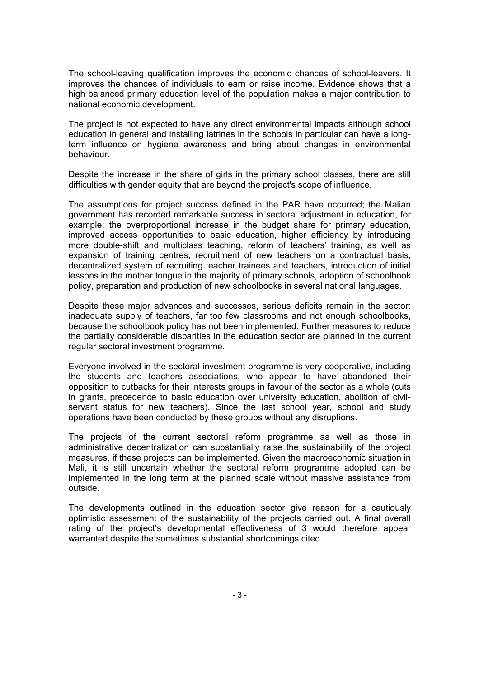The school-leaving qualification improves the economic chances of school-leavers. It improves the chances of individuals to earn or raise income. Evidence shows that a high balanced primary education level of the population makes a major contribution to national economic development.

The project is not expected to have any direct environmental impacts although school education in general and installing latrines in the schools in particular can have a longterm influence on hygiene awareness and bring about changes in environmental behaviour.

Despite the increase in the share of girls in the primary school classes, there are still difficulties with gender equity that are beyond the project's scope of influence.

The assumptions for project success defined in the PAR have occurred; the Malian government has recorded remarkable success in sectoral adjustment in education, for example: the overproportional increase in the budget share for primary education, improved access opportunities to basic education, higher efficiency by introducing more double-shift and multiclass teaching, reform of teachers' training, as well as expansion of training centres, recruitment of new teachers on a contractual basis, decentralized system of recruiting teacher trainees and teachers, introduction of initial lessons in the mother tongue in the majority of primary schools, adoption of schoolbook policy, preparation and production of new schoolbooks in several national languages.

Despite these major advances and successes, serious deficits remain in the sector: inadequate supply of teachers, far too few classrooms and not enough schoolbooks, because the schoolbook policy has not been implemented. Further measures to reduce the partially considerable disparities in the education sector are planned in the current regular sectoral investment programme.

Everyone involved in the sectoral investment programme is very cooperative, including the students and teachers associations, who appear to have abandoned their opposition to cutbacks for their interests groups in favour of the sector as a whole (cuts in grants, precedence to basic education over university education, abolition of civilservant status for new teachers). Since the last school year, school and study operations have been conducted by these groups without any disruptions.

The projects of the current sectoral reform programme as well as those in administrative decentralization can substantially raise the sustainability of the project measures, if these projects can be implemented. Given the macroeconomic situation in Mali, it is still uncertain whether the sectoral reform programme adopted can be implemented in the long term at the planned scale without massive assistance from outside.

The developments outlined in the education sector give reason for a cautiously optimistic assessment of the sustainability of the projects carried out. A final overall rating of the project's developmental effectiveness of 3 would therefore appear warranted despite the sometimes substantial shortcomings cited.